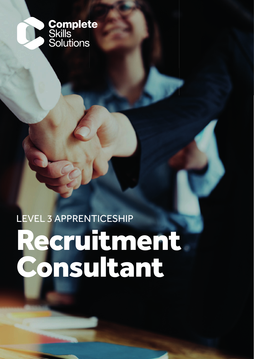

## LEVEL 3 APPRENTICESHIP

# Recruitment Consultant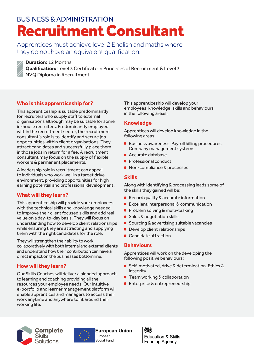### BUSINESS & ADMINISTRATION Recruitment Consultant

Apprentices must achieve level 2 English and maths where they do not have an equivalent qualification.



#### **Duration:** 12 Months

**Qualification:** Level 3 Certificate in Principles of Recruitment & Level 3

NVQ Diploma in Recruitment

### **Who is this apprenticeship for?**

This apprenticeship is suitable predominantly for recruiters who supply staff to external organisations although may be suitable for some in-house recruiters. Predominantly employed within the recruitment sector, the recruitment consultant's role is to identify and secure job opportunities within client organisations. They attract candidates and successfully place them in those jobs in return for a fee. A recruitment consultant may focus on the supply of flexible workers & permanent placements.

A leadership role in recruitment can appeal to individuals who work well in a target drive environment, providing opportunities for high earning potential and professional development.

### **What will they learn?**

This apprenticeship will provide your employees with the technical skills and knowledge needed to improve their client focused skills and add real value on a day-to-day basis. They will focus on understanding how to develop client relationships while ensuring they are attracting and supplying them with the right candidates for the role.

They will strengthen their ability to work collaboratively with both internal and external clients and understand how their contribution can have a direct impact on the businesses bottom line.

### **How will they learn?**

Our Skills Coaches will deliver a blended approach to learning and coaching providing all the resources your employee needs. Our intuitive e-portfolio and learner management platform will enable apprentices and managers to access their work anytime and anywhere to fit around their working life.

This apprenticeship will develop your employees' knowledge, skills and behaviours in the following areas:

### **Knowledge**

Apprentices will develop knowledge in the following areas:

- **Business awareness. Payroll billing procedures.** Company management systems
- Accurate database
- Professional conduct
- Non-compliance & processes

### **Skills**

Along with identifying & processing leads some of the skills they gained will be:

- Record quality & accurate information
- **Excellent interpersonal & communication**
- **Problem solving & multi-tasking**
- **Sales & negotiation skills**
- Sourcing & advertising suitable vacancies
- **Develop client relationships**
- Candidate attraction

### **Behaviours**

Apprentices will work on the developing the following positive behaviours:

- Self-motivated, drive & determination. Ethics & integrity
- **Team working & collaboration**
- **Enterprise & entrepreneurship**





**European Union** Social Fund